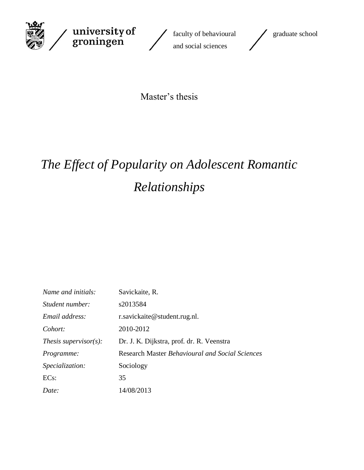



Master's thesis

# *The Effect of Popularity on Adolescent Romantic Relationships*

| Name and initials:           | Savickaite, R.                                         |
|------------------------------|--------------------------------------------------------|
| Student number:              | s2013584                                               |
| Email address:               | r.savickaite@student.rug.nl.                           |
| Cohort:                      | 2010-2012                                              |
| <i>Thesis supervisor(s):</i> | Dr. J. K. Dijkstra, prof. dr. R. Veenstra              |
| Programme:                   | <b>Research Master Behavioural and Social Sciences</b> |
| <i>Specialization:</i>       | Sociology                                              |
| $ECs$ :                      | 35                                                     |
| Date:                        | 14/08/2013                                             |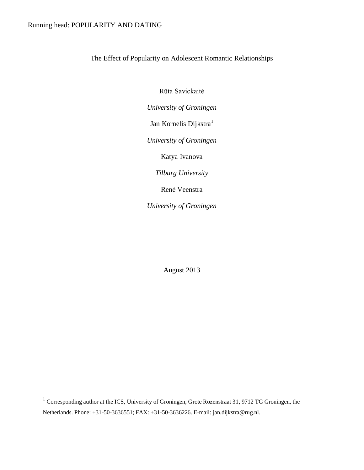### Running head: POPULARITY AND DATING

The Effect of Popularity on Adolescent Romantic Relationships

Rūta Savickaitė

*University of Groningen* Jan Kornelis Dijkstra<sup>1</sup> *University of Groningen*

Katya Ivanova

*Tilburg University*

René Veenstra

*University of Groningen*

August 2013

 1 Corresponding author at the ICS, University of Groningen, Grote Rozenstraat 31, 9712 TG Groningen, the Netherlands. Phone: +31-50-3636551; FAX: +31-50-3636226. E-mail: jan.dijkstra@rug.nl.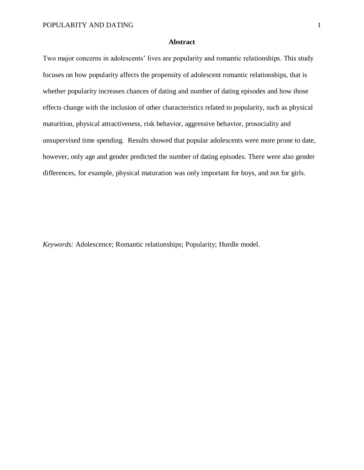#### **Abstract**

Two major concerns in adolescents' lives are popularity and romantic relationships. This study focuses on how popularity affects the propensity of adolescent romantic relationships, that is whether popularity increases chances of dating and number of dating episodes and how those effects change with the inclusion of other characteristics related to popularity, such as physical maturition, physical attractiveness, risk behavior, aggressive behavior, prosociality and unsupervised time spending. Results showed that popular adolescents were more prone to date, however, only age and gender predicted the number of dating episodes. There were also gender differences, for example, physical maturation was only important for boys, and not for girls.

*Keywords:* Adolescence; Romantic relationships; Popularity; Hurdle model.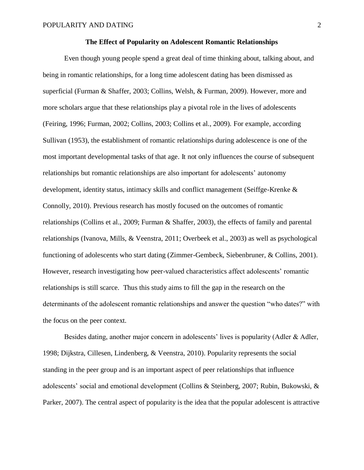#### **The Effect of Popularity on Adolescent Romantic Relationships**

Even though young people spend a great deal of time thinking about, talking about, and being in romantic relationships, for a long time adolescent dating has been dismissed as superficial (Furman & Shaffer, 2003; Collins, Welsh, & Furman, 2009). However, more and more scholars argue that these relationships play a pivotal role in the lives of adolescents (Feiring, 1996; Furman, 2002; Collins, 2003; Collins et al., 2009). For example, according Sullivan (1953), the establishment of romantic relationships during adolescence is one of the most important developmental tasks of that age. It not only influences the course of subsequent relationships but romantic relationships are also important for adolescents' autonomy development, identity status, intimacy skills and conflict management (Seiffge-Krenke & Connolly, 2010). Previous research has mostly focused on the outcomes of romantic relationships (Collins et al., 2009; Furman & Shaffer, 2003), the effects of family and parental relationships (Ivanova, Mills, & Veenstra, 2011; Overbeek et al., 2003) as well as psychological functioning of adolescents who start dating (Zimmer-Gembeck, Siebenbruner, & Collins, 2001). However, research investigating how peer-valued characteristics affect adolescents' romantic relationships is still scarce. Thus this study aims to fill the gap in the research on the determinants of the adolescent romantic relationships and answer the question "who dates?" with the focus on the peer context.

Besides dating, another major concern in adolescents' lives is popularity (Adler & Adler, 1998; Dijkstra, Cillesen, Lindenberg, & Veenstra, 2010). Popularity represents the social standing in the peer group and is an important aspect of peer relationships that influence adolescents' social and emotional development (Collins & Steinberg, 2007; Rubin, Bukowski, & Parker, 2007). The central aspect of popularity is the idea that the popular adolescent is attractive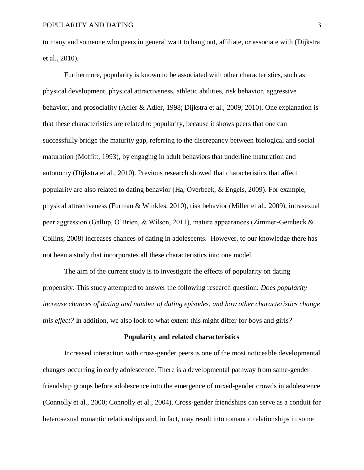to many and someone who peers in general want to hang out, affiliate, or associate with (Dijkstra et al., 2010).

Furthermore, popularity is known to be associated with other characteristics, such as physical development, physical attractiveness, athletic abilities, risk behavior, aggressive behavior, and prosociality (Adler & Adler, 1998; Dijkstra et al., 2009; 2010). One explanation is that these characteristics are related to popularity, because it shows peers that one can successfully bridge the maturity gap, referring to the discrepancy between biological and social maturation (Moffitt, 1993), by engaging in adult behaviors that underline maturation and autonomy (Dijkstra et al., 2010). Previous research showed that characteristics that affect popularity are also related to dating behavior (Ha, Overbeek, & Engels, 2009). For example, physical attractiveness (Furman & Winkles, 2010), risk behavior (Miller et al., 2009), intrasexual peer aggression (Gallup, O'Brien, & Wilson, 2011), mature appearances (Zimmer-Gembeck & Collins, 2008) increases chances of dating in adolescents. However, to our knowledge there has not been a study that incorporates all these characteristics into one model.

The aim of the current study is to investigate the effects of popularity on dating propensity. This study attempted to answer the following research question: *Does popularity increase chances of dating and number of dating episodes, and how other characteristics change this effect?* In addition, we also look to what extent this might differ for boys and girls*?*

#### **Popularity and related characteristics**

Increased interaction with cross-gender peers is one of the most noticeable developmental changes occurring in early adolescence. There is a developmental pathway from same-gender friendship groups before adolescence into the emergence of mixed-gender crowds in adolescence (Connolly et al., 2000; Connolly et al., 2004). Cross-gender friendships can serve as a conduit for heterosexual romantic relationships and, in fact, may result into romantic relationships in some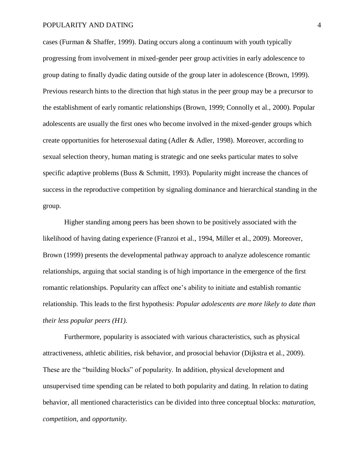cases (Furman & Shaffer, 1999). Dating occurs along a continuum with youth typically progressing from involvement in mixed-gender peer group activities in early adolescence to group dating to finally dyadic dating outside of the group later in adolescence (Brown, 1999). Previous research hints to the direction that high status in the peer group may be a precursor to the establishment of early romantic relationships (Brown, 1999; Connolly et al., 2000). Popular adolescents are usually the first ones who become involved in the mixed-gender groups which create opportunities for heterosexual dating (Adler & Adler, 1998). Moreover, according to sexual selection theory, human mating is strategic and one seeks particular mates to solve specific adaptive problems (Buss & Schmitt, 1993). Popularity might increase the chances of success in the reproductive competition by signaling dominance and hierarchical standing in the group.

Higher standing among peers has been shown to be positively associated with the likelihood of having dating experience (Franzoi et al., 1994, Miller et al., 2009). Moreover, Brown (1999) presents the developmental pathway approach to analyze adolescence romantic relationships, arguing that social standing is of high importance in the emergence of the first romantic relationships. Popularity can affect one's ability to initiate and establish romantic relationship. This leads to the first hypothesis: *Popular adolescents are more likely to date than their less popular peers (H1).*

Furthermore, popularity is associated with various characteristics, such as physical attractiveness, athletic abilities, risk behavior, and prosocial behavior (Dijkstra et al., 2009). These are the "building blocks" of popularity. In addition, physical development and unsupervised time spending can be related to both popularity and dating. In relation to dating behavior, all mentioned characteristics can be divided into three conceptual blocks: *maturation*, *competition*, and *opportunity*.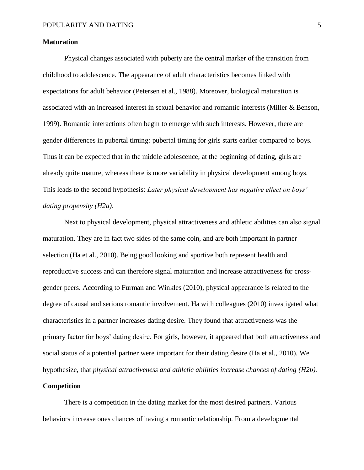#### **Maturation**

Physical changes associated with puberty are the central marker of the transition from childhood to adolescence. The appearance of adult characteristics becomes linked with expectations for adult behavior (Petersen et al., 1988). Moreover, biological maturation is associated with an increased interest in sexual behavior and romantic interests (Miller & Benson, 1999). Romantic interactions often begin to emerge with such interests. However, there are gender differences in pubertal timing: pubertal timing for girls starts earlier compared to boys. Thus it can be expected that in the middle adolescence, at the beginning of dating, girls are already quite mature, whereas there is more variability in physical development among boys. This leads to the second hypothesis: *Later physical development has negative effect on boys' dating propensity (H2a)*.

Next to physical development, physical attractiveness and athletic abilities can also signal maturation. They are in fact two sides of the same coin, and are both important in partner selection (Ha et al., 2010). Being good looking and sportive both represent health and reproductive success and can therefore signal maturation and increase attractiveness for crossgender peers. According to Furman and Winkles (2010), physical appearance is related to the degree of causal and serious romantic involvement. Ha with colleagues (2010) investigated what characteristics in a partner increases dating desire. They found that attractiveness was the primary factor for boys' dating desire. For girls, however, it appeared that both attractiveness and social status of a potential partner were important for their dating desire (Ha et al., 2010). We hypothesize, that *physical attractiveness and athletic abilities increase chances of dating (H2b).*

#### **Competition**

There is a competition in the dating market for the most desired partners. Various behaviors increase ones chances of having a romantic relationship. From a developmental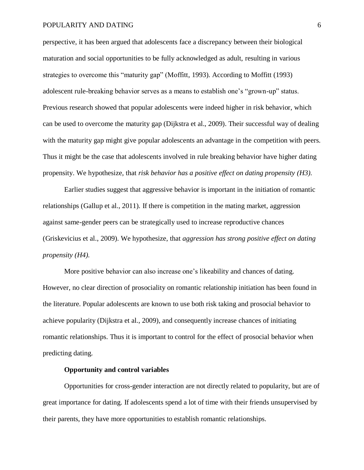perspective, it has been argued that adolescents face a discrepancy between their biological maturation and social opportunities to be fully acknowledged as adult, resulting in various strategies to overcome this "maturity gap" (Moffitt, 1993). According to Moffitt (1993) adolescent rule-breaking behavior serves as a means to establish one's "grown-up" status. Previous research showed that popular adolescents were indeed higher in risk behavior, which can be used to overcome the maturity gap (Dijkstra et al., 2009). Their successful way of dealing with the maturity gap might give popular adolescents an advantage in the competition with peers. Thus it might be the case that adolescents involved in rule breaking behavior have higher dating propensity. We hypothesize, that *risk behavior has a positive effect on dating propensity (H3).*

Earlier studies suggest that aggressive behavior is important in the initiation of romantic relationships (Gallup et al., 2011). If there is competition in the mating market, aggression against same-gender peers can be strategically used to increase reproductive chances (Griskevicius et al., 2009). We hypothesize, that *aggression has strong positive effect on dating propensity (H4).*

More positive behavior can also increase one's likeability and chances of dating. However, no clear direction of prosociality on romantic relationship initiation has been found in the literature. Popular adolescents are known to use both risk taking and prosocial behavior to achieve popularity (Dijkstra et al., 2009), and consequently increase chances of initiating romantic relationships. Thus it is important to control for the effect of prosocial behavior when predicting dating.

#### **Opportunity and control variables**

Opportunities for cross-gender interaction are not directly related to popularity, but are of great importance for dating. If adolescents spend a lot of time with their friends unsupervised by their parents, they have more opportunities to establish romantic relationships.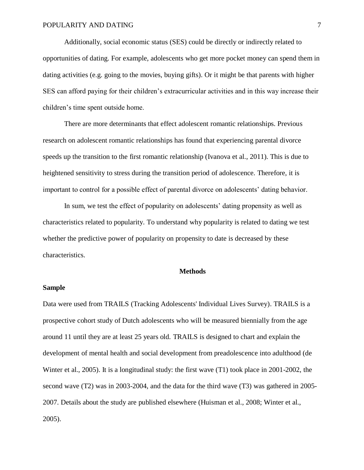Additionally, social economic status (SES) could be directly or indirectly related to opportunities of dating. For example, adolescents who get more pocket money can spend them in dating activities (e.g. going to the movies, buying gifts). Or it might be that parents with higher SES can afford paying for their children's extracurricular activities and in this way increase their children's time spent outside home.

There are more determinants that effect adolescent romantic relationships. Previous research on adolescent romantic relationships has found that experiencing parental divorce speeds up the transition to the first romantic relationship (Ivanova et al., 2011). This is due to heightened sensitivity to stress during the transition period of adolescence. Therefore, it is important to control for a possible effect of parental divorce on adolescents' dating behavior.

In sum, we test the effect of popularity on adolescents' dating propensity as well as characteristics related to popularity. To understand why popularity is related to dating we test whether the predictive power of popularity on propensity to date is decreased by these characteristics.

#### **Methods**

#### **Sample**

Data were used from TRAILS (Tracking Adolescents' Individual Lives Survey). TRAILS is a prospective cohort study of Dutch adolescents who will be measured biennially from the age around 11 until they are at least 25 years old. TRAILS is designed to chart and explain the development of mental health and social development from preadolescence into adulthood (de Winter et al., 2005). It is a longitudinal study: the first wave (T1) took place in 2001-2002, the second wave (T2) was in 2003-2004, and the data for the third wave (T3) was gathered in 2005- 2007. Details about the study are published elsewhere (Huisman et al., 2008; Winter et al., 2005).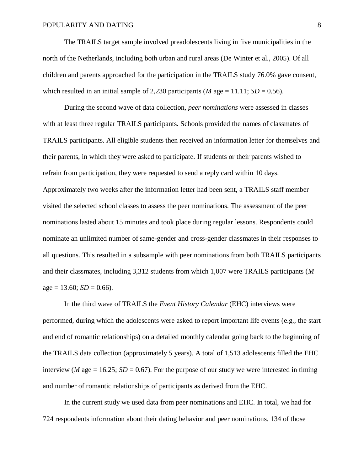The TRAILS target sample involved preadolescents living in five municipalities in the north of the Netherlands, including both urban and rural areas (De Winter et al., 2005). Of all children and parents approached for the participation in the TRAILS study 76.0% gave consent, which resulted in an initial sample of 2,230 participants (*M* age = 11.11; *SD* = 0.56).

During the second wave of data collection, *peer nominations* were assessed in classes with at least three regular TRAILS participants. Schools provided the names of classmates of TRAILS participants. All eligible students then received an information letter for themselves and their parents, in which they were asked to participate. If students or their parents wished to refrain from participation, they were requested to send a reply card within 10 days. Approximately two weeks after the information letter had been sent, a TRAILS staff member visited the selected school classes to assess the peer nominations. The assessment of the peer nominations lasted about 15 minutes and took place during regular lessons. Respondents could nominate an unlimited number of same-gender and cross-gender classmates in their responses to all questions. This resulted in a subsample with peer nominations from both TRAILS participants and their classmates, including 3,312 students from which 1,007 were TRAILS participants (*M*  $age = 13.60$ ;  $SD = 0.66$ ).

In the third wave of TRAILS the *Event History Calendar* (EHC) interviews were performed, during which the adolescents were asked to report important life events (e.g., the start and end of romantic relationships) on a detailed monthly calendar going back to the beginning of the TRAILS data collection (approximately 5 years). A total of 1,513 adolescents filled the EHC interview (*M* age = 16.25; *SD* = 0.67). For the purpose of our study we were interested in timing and number of romantic relationships of participants as derived from the EHC.

In the current study we used data from peer nominations and EHC. In total, we had for 724 respondents information about their dating behavior and peer nominations. 134 of those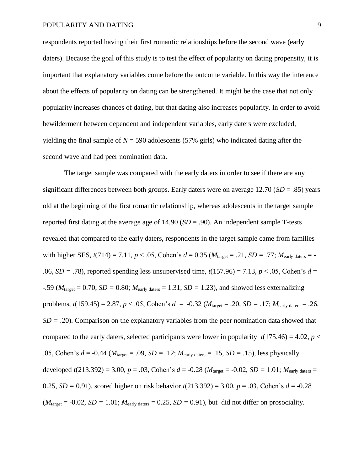respondents reported having their first romantic relationships before the second wave (early daters). Because the goal of this study is to test the effect of popularity on dating propensity, it is important that explanatory variables come before the outcome variable. In this way the inference about the effects of popularity on dating can be strengthened. It might be the case that not only popularity increases chances of dating, but that dating also increases popularity. In order to avoid bewilderment between dependent and independent variables, early daters were excluded, yielding the final sample of  $N = 590$  adolescents (57% girls) who indicated dating after the second wave and had peer nomination data.

The target sample was compared with the early daters in order to see if there are any significant differences between both groups. Early daters were on average 12.70 (*SD* = .85) years old at the beginning of the first romantic relationship, whereas adolescents in the target sample reported first dating at the average age of 14.90 (*SD* = .90). An independent sample T-tests revealed that compared to the early daters, respondents in the target sample came from families with higher SES,  $t(714) = 7.11$ ,  $p < .05$ , Cohen's  $d = 0.35$  ( $M_{\text{target}} = .21$ ,  $SD = .77$ ;  $M_{\text{early datasets}} = -$ .06,  $SD = .78$ ), reported spending less unsupervised time,  $t(157.96) = 7.13$ ,  $p < .05$ , Cohen's  $d =$ -.59 ( $M<sub>target</sub> = 0.70$ ,  $SD = 0.80$ ;  $M<sub>early</sub>_{daters} = 1.31$ ,  $SD = 1.23$ ), and showed less externalizing problems,  $t(159.45) = 2.87$ ,  $p < .05$ , Cohen's  $d = -0.32$  ( $M<sub>target</sub> = .20$ ,  $SD = .17$ ;  $M<sub>early</sub> <sub>daters</sub> = .26$ , *SD* = .20). Comparison on the explanatory variables from the peer nomination data showed that compared to the early daters, selected participants were lower in popularity  $t(175.46) = 4.02$ ,  $p <$ .05, Cohen's  $d = -0.44$  ( $M_{\text{target}} = .09$ ,  $SD = .12$ ;  $M_{\text{early datasets}} = .15$ ,  $SD = .15$ ), less physically developed  $t(213.392) = 3.00$ ,  $p = .03$ , Cohen's  $d = -0.28$  ( $M_{\text{target}} = -0.02$ ,  $SD = 1.01$ ;  $M_{\text{early datasets}} =$ 0.25, *SD* = 0.91), scored higher on risk behavior  $t(213.392) = 3.00$ ,  $p = .03$ , Cohen's  $d = -0.28$  $(M<sub>target</sub> = -0.02, SD = 1.01; M<sub>early dates</sub> = 0.25, SD = 0.91)$ , but did not differ on prosociality.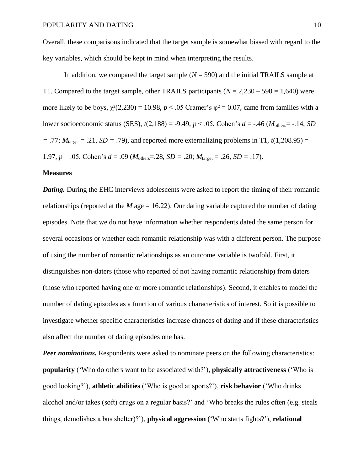Overall, these comparisons indicated that the target sample is somewhat biased with regard to the key variables, which should be kept in mind when interpreting the results.

In addition, we compared the target sample  $(N = 590)$  and the initial TRAILS sample at T1. Compared to the target sample, other TRAILS participants  $(N = 2,230 - 590 = 1,640)$  were more likely to be boys,  $\chi^2(2,230) = 10.98$ ,  $p < .05$  Cramer's  $\varphi^2 = 0.07$ , came from families with a lower socioeconomic status (SES), *t*(2,188) = -9.49, *p* < .05, Cohen's *d* = -.46 (*M*others= -.14, *SD*   $= .77$ ;  $M<sub>target</sub> = .21$ ,  $SD = .79$ ), and reported more externalizing problems in T1,  $t(1,208.95) =$ 1.97,  $p = .05$ , Cohen's  $d = .09$  ( $M_{\text{others}} = .28$ ,  $SD = .20$ ;  $M_{\text{target}} = .26$ ,  $SD = .17$ ).

#### **Measures**

*Dating.* During the EHC interviews adolescents were asked to report the timing of their romantic relationships (reported at the *M* age  $= 16.22$ ). Our dating variable captured the number of dating episodes. Note that we do not have information whether respondents dated the same person for several occasions or whether each romantic relationship was with a different person. The purpose of using the number of romantic relationships as an outcome variable is twofold. First, it distinguishes non-daters (those who reported of not having romantic relationship) from daters (those who reported having one or more romantic relationships). Second, it enables to model the number of dating episodes as a function of various characteristics of interest. So it is possible to investigate whether specific characteristics increase chances of dating and if these characteristics also affect the number of dating episodes one has.

*Peer nominations.* Respondents were asked to nominate peers on the following characteristics: **popularity** ('Who do others want to be associated with?'), **physically attractiveness** ('Who is good looking?'), **athletic abilities** ('Who is good at sports?'), **risk behavior** ('Who drinks alcohol and/or takes (soft) drugs on a regular basis?' and 'Who breaks the rules often (e.g. steals things, demolishes a bus shelter)?'), **physical aggression** ('Who starts fights?'), **relational**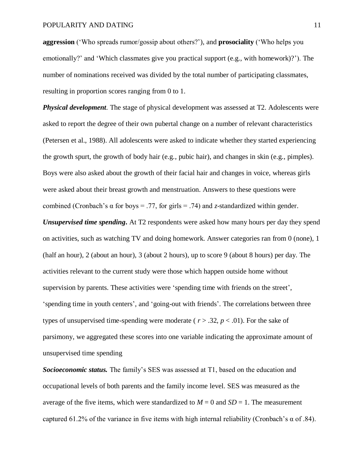**aggression** ('Who spreads rumor/gossip about others?'), and **prosociality** ('Who helps you emotionally?' and 'Which classmates give you practical support (e.g., with homework)?'). The number of nominations received was divided by the total number of participating classmates, resulting in proportion scores ranging from 0 to 1.

*Physical development.* The stage of physical development was assessed at T2. Adolescents were asked to report the degree of their own pubertal change on a number of relevant characteristics (Petersen et al., 1988). All adolescents were asked to indicate whether they started experiencing the growth spurt, the growth of body hair (e.g., pubic hair), and changes in skin (e.g., pimples). Boys were also asked about the growth of their facial hair and changes in voice, whereas girls were asked about their breast growth and menstruation. Answers to these questions were combined (Cronbach's α for boys = .77, for girls = .74) and *z*-standardized within gender.

*Unsupervised time spending***.** At T2 respondents were asked how many hours per day they spend on activities, such as watching TV and doing homework. Answer categories ran from 0 (none), 1 (half an hour), 2 (about an hour), 3 (about 2 hours), up to score 9 (about 8 hours) per day. The activities relevant to the current study were those which happen outside home without supervision by parents. These activities were 'spending time with friends on the street', 'spending time in youth centers', and 'going-out with friends'. The correlations between three types of unsupervised time-spending were moderate ( $r > .32$ ,  $p < .01$ ). For the sake of parsimony, we aggregated these scores into one variable indicating the approximate amount of unsupervised time spending

*Socioeconomic status.* The family's SES was assessed at T1, based on the education and occupational levels of both parents and the family income level. SES was measured as the average of the five items, which were standardized to  $M = 0$  and  $SD = 1$ . The measurement captured 61.2% of the variance in five items with high internal reliability (Cronbach's  $\alpha$  of .84).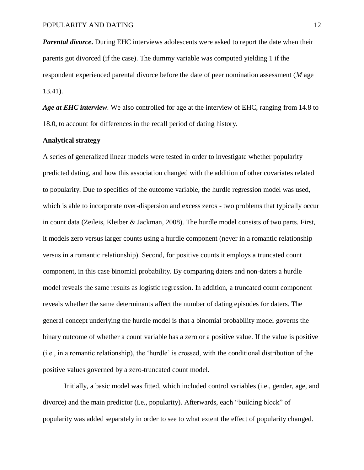*Parental divorce***.** During EHC interviews adolescents were asked to report the date when their parents got divorced (if the case). The dummy variable was computed yielding 1 if the respondent experienced parental divorce before the date of peer nomination assessment (*M* age 13.41).

*Age at EHC interview*. We also controlled for age at the interview of EHC, ranging from 14.8 to 18.0, to account for differences in the recall period of dating history.

#### **Analytical strategy**

A series of generalized linear models were tested in order to investigate whether popularity predicted dating, and how this association changed with the addition of other covariates related to popularity. Due to specifics of the outcome variable, the hurdle regression model was used, which is able to incorporate over-dispersion and excess zeros - two problems that typically occur in count data (Zeileis, Kleiber & Jackman, 2008). The hurdle model consists of two parts. First, it models zero versus larger counts using a hurdle component (never in a romantic relationship versus in a romantic relationship). Second, for positive counts it employs a truncated count component, in this case binomial probability. By comparing daters and non-daters a hurdle model reveals the same results as logistic regression. In addition, a truncated count component reveals whether the same determinants affect the number of dating episodes for daters. The general concept underlying the hurdle model is that a binomial probability model governs the binary outcome of whether a count variable has a zero or a positive value. If the value is positive (i.e., in a romantic relationship), the 'hurdle' is crossed, with the conditional distribution of the positive values governed by a zero-truncated count model.

Initially, a basic model was fitted, which included control variables (i.e., gender, age, and divorce) and the main predictor (i.e., popularity). Afterwards, each "building block" of popularity was added separately in order to see to what extent the effect of popularity changed.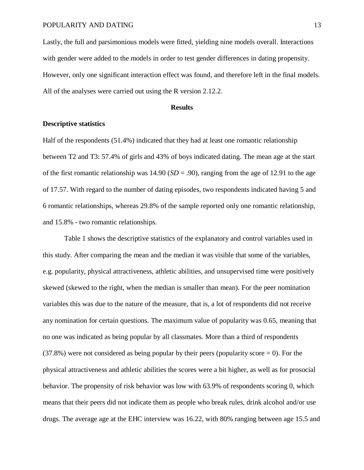Lastly, the full and parsimonious models were fitted, yielding nine models overall. Interactions with gender were added to the models in order to test gender differences in dating propensity. However, only one significant interaction effect was found, and therefore left in the final models. All of the analyses were carried out using the R version 2.12.2.

#### **Results**

#### **Descriptive statistics**

Half of the respondents (51.4%) indicated that they had at least one romantic relationship between T2 and T3: 57.4% of girls and 43% of boys indicated dating. The mean age at the start of the first romantic relationship was  $14.90$  (*SD* = .90), ranging from the age of 12.91 to the age of 17.57. With regard to the number of dating episodes, two respondents indicated having 5 and 6 romantic relationships, whereas 29.8% of the sample reported only one romantic relationship, and 15.8% - two romantic relationships.

Table 1 shows the descriptive statistics of the explanatory and control variables used in this study. After comparing the mean and the median it was visible that some of the variables, e.g. popularity, physical attractiveness, athletic abilities, and unsupervised time were positively skewed (skewed to the right, when the median is smaller than mean). For the peer nomination variables this was due to the nature of the measure, that is, a lot of respondents did not receive any nomination for certain questions. The maximum value of popularity was 0.65, meaning that no one was indicated as being popular by all classmates. More than a third of respondents  $(37.8%)$  were not considered as being popular by their peers (popularity score = 0). For the physical attractiveness and athletic abilities the scores were a bit higher, as well as for prosocial behavior. The propensity of risk behavior was low with 63.9% of respondents scoring 0, which means that their peers did not indicate them as people who break rules, drink alcohol and/or use drugs. The average age at the EHC interview was 16.22, with 80% ranging between age 15.5 and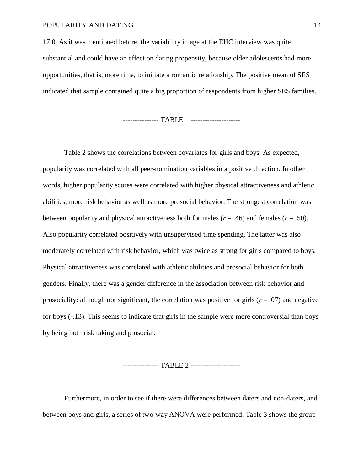17.0. As it was mentioned before, the variability in age at the EHC interview was quite substantial and could have an effect on dating propensity, because older adolescents had more opportunities, that is, more time, to initiate a romantic relationship. The positive mean of SES indicated that sample contained quite a big proportion of respondents from higher SES families.

--------------- TABLE 1 ---------------------

Table 2 shows the correlations between covariates for girls and boys. As expected, popularity was correlated with all peer-nomination variables in a positive direction. In other words, higher popularity scores were correlated with higher physical attractiveness and athletic abilities, more risk behavior as well as more prosocial behavior. The strongest correlation was between popularity and physical attractiveness both for males  $(r = .46)$  and females  $(r = .50)$ . Also popularity correlated positively with unsupervised time spending. The latter was also moderately correlated with risk behavior, which was twice as strong for girls compared to boys. Physical attractiveness was correlated with athletic abilities and prosocial behavior for both genders. Finally, there was a gender difference in the association between risk behavior and prosociality: although not significant, the correlation was positive for girls ( $r = .07$ ) and negative for boys (-.13). This seems to indicate that girls in the sample were more controversial than boys by being both risk taking and prosocial.

--------------- TABLE 2 ---------------------

Furthermore, in order to see if there were differences between daters and non-daters, and between boys and girls, a series of two-way ANOVA were performed. Table 3 shows the group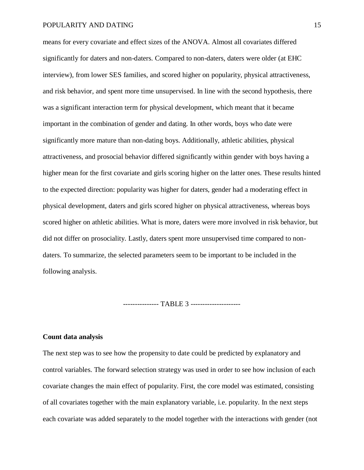means for every covariate and effect sizes of the ANOVA. Almost all covariates differed significantly for daters and non-daters. Compared to non-daters, daters were older (at EHC interview), from lower SES families, and scored higher on popularity, physical attractiveness, and risk behavior, and spent more time unsupervised. In line with the second hypothesis, there was a significant interaction term for physical development, which meant that it became important in the combination of gender and dating. In other words, boys who date were significantly more mature than non-dating boys. Additionally, athletic abilities, physical attractiveness, and prosocial behavior differed significantly within gender with boys having a higher mean for the first covariate and girls scoring higher on the latter ones. These results hinted to the expected direction: popularity was higher for daters, gender had a moderating effect in physical development, daters and girls scored higher on physical attractiveness, whereas boys scored higher on athletic abilities. What is more, daters were more involved in risk behavior, but did not differ on prosociality. Lastly, daters spent more unsupervised time compared to nondaters. To summarize, the selected parameters seem to be important to be included in the following analysis.

--------------- TABLE 3 ---------------------

#### **Count data analysis**

The next step was to see how the propensity to date could be predicted by explanatory and control variables. The forward selection strategy was used in order to see how inclusion of each covariate changes the main effect of popularity. First, the core model was estimated, consisting of all covariates together with the main explanatory variable, i.e. popularity. In the next steps each covariate was added separately to the model together with the interactions with gender (not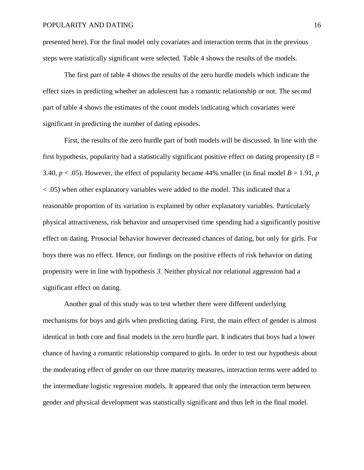presented here). For the final model only covariates and interaction terms that in the previous steps were statistically significant were selected. Table 4 shows the results of the models.

The first part of table 4 shows the results of the zero hurdle models which indicate the effect sizes in predicting whether an adolescent has a romantic relationship or not. The second part of table 4 shows the estimates of the count models indicating which covariates were significant in predicting the number of dating episodes.

First, the results of the zero hurdle part of both models will be discussed. In line with the first hypothesis, popularity had a statistically significant positive effect on dating propensity ( $B =$ 3.40,  $p < .05$ ). However, the effect of popularity became 44% smaller (in final model  $B = 1.91$ ,  $p$ < .05) when other explanatory variables were added to the model. This indicated that a reasonable proportion of its variation is explained by other explanatory variables. Particularly physical attractiveness, risk behavior and unsupervised time spending had a significantly positive effect on dating. Prosocial behavior however decreased chances of dating, but only for girls. For boys there was no effect. Hence, our findings on the positive effects of risk behavior on dating propensity were in line with hypothesis *3*. Neither physical nor relational aggression had a significant effect on dating.

Another goal of this study was to test whether there were different underlying mechanisms for boys and girls when predicting dating. First, the main effect of gender is almost identical in both core and final models in the zero hurdle part. It indicates that boys had a lower chance of having a romantic relationship compared to girls. In order to test our hypothesis about the moderating effect of gender on our three maturity measures, interaction terms were added to the intermediate logistic regression models. It appeared that only the interaction term between gender and physical development was statistically significant and thus left in the final model.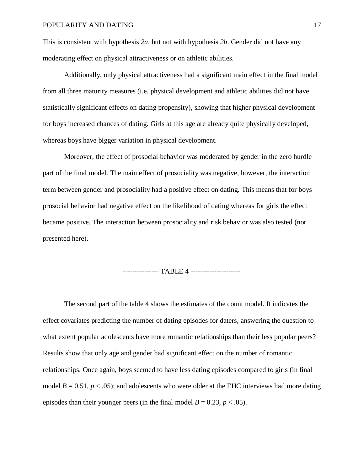This is consistent with hypothesis *2a*, but not with hypothesis *2b*. Gender did not have any moderating effect on physical attractiveness or on athletic abilities.

Additionally, only physical attractiveness had a significant main effect in the final model from all three maturity measures (i.e. physical development and athletic abilities did not have statistically significant effects on dating propensity), showing that higher physical development for boys increased chances of dating. Girls at this age are already quite physically developed, whereas boys have bigger variation in physical development.

Moreover, the effect of prosocial behavior was moderated by gender in the zero hurdle part of the final model. The main effect of prosociality was negative, however, the interaction term between gender and prosociality had a positive effect on dating. This means that for boys prosocial behavior had negative effect on the likelihood of dating whereas for girls the effect became positive. The interaction between prosociality and risk behavior was also tested (not presented here).

--------------- TABLE 4 ---------------------

The second part of the table 4 shows the estimates of the count model. It indicates the effect covariates predicting the number of dating episodes for daters, answering the question to what extent popular adolescents have more romantic relationships than their less popular peers? Results show that only age and gender had significant effect on the number of romantic relationships. Once again, boys seemed to have less dating episodes compared to girls (in final model  $B = 0.51$ ,  $p < .05$ ; and adolescents who were older at the EHC interviews had more dating episodes than their younger peers (in the final model  $B = 0.23$ ,  $p < .05$ ).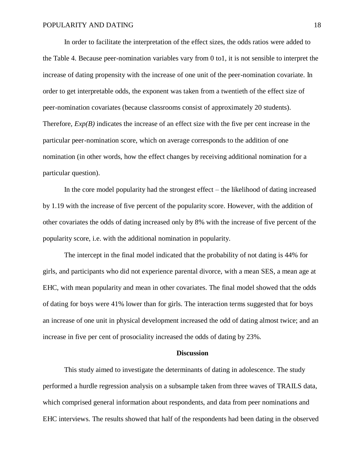In order to facilitate the interpretation of the effect sizes, the odds ratios were added to the Table 4. Because peer-nomination variables vary from 0 to1, it is not sensible to interpret the increase of dating propensity with the increase of one unit of the peer-nomination covariate. In order to get interpretable odds, the exponent was taken from a twentieth of the effect size of peer-nomination covariates (because classrooms consist of approximately 20 students). Therefore,  $Exp(B)$  indicates the increase of an effect size with the five per cent increase in the particular peer-nomination score, which on average corresponds to the addition of one nomination (in other words, how the effect changes by receiving additional nomination for a particular question).

In the core model popularity had the strongest effect – the likelihood of dating increased by 1.19 with the increase of five percent of the popularity score. However, with the addition of other covariates the odds of dating increased only by 8% with the increase of five percent of the popularity score, i.e. with the additional nomination in popularity.

The intercept in the final model indicated that the probability of not dating is 44% for girls, and participants who did not experience parental divorce, with a mean SES, a mean age at EHC, with mean popularity and mean in other covariates. The final model showed that the odds of dating for boys were 41% lower than for girls. The interaction terms suggested that for boys an increase of one unit in physical development increased the odd of dating almost twice; and an increase in five per cent of prosociality increased the odds of dating by 23%.

#### **Discussion**

This study aimed to investigate the determinants of dating in adolescence. The study performed a hurdle regression analysis on a subsample taken from three waves of TRAILS data, which comprised general information about respondents, and data from peer nominations and EHC interviews. The results showed that half of the respondents had been dating in the observed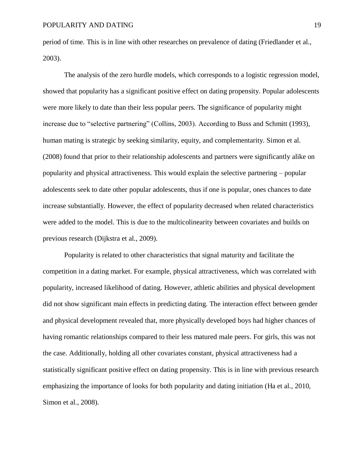period of time. This is in line with other researches on prevalence of dating (Friedlander et al., 2003).

The analysis of the zero hurdle models, which corresponds to a logistic regression model, showed that popularity has a significant positive effect on dating propensity. Popular adolescents were more likely to date than their less popular peers. The significance of popularity might increase due to "selective partnering" (Collins, 2003). According to Buss and Schmitt (1993), human mating is strategic by seeking similarity, equity, and complementarity. Simon et al. (2008) found that prior to their relationship adolescents and partners were significantly alike on popularity and physical attractiveness. This would explain the selective partnering – popular adolescents seek to date other popular adolescents, thus if one is popular, ones chances to date increase substantially. However, the effect of popularity decreased when related characteristics were added to the model. This is due to the multicolinearity between covariates and builds on previous research (Dijkstra et al., 2009).

Popularity is related to other characteristics that signal maturity and facilitate the competition in a dating market. For example, physical attractiveness, which was correlated with popularity, increased likelihood of dating. However, athletic abilities and physical development did not show significant main effects in predicting dating. The interaction effect between gender and physical development revealed that, more physically developed boys had higher chances of having romantic relationships compared to their less matured male peers. For girls, this was not the case. Additionally, holding all other covariates constant, physical attractiveness had a statistically significant positive effect on dating propensity. This is in line with previous research emphasizing the importance of looks for both popularity and dating initiation (Ha et al., 2010, Simon et al., 2008).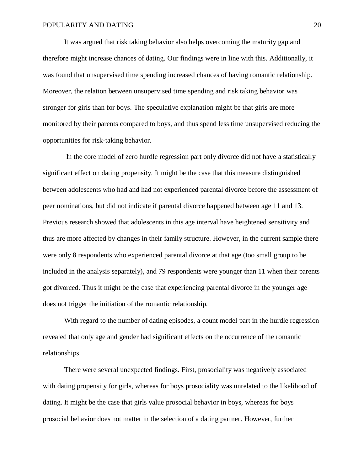It was argued that risk taking behavior also helps overcoming the maturity gap and therefore might increase chances of dating. Our findings were in line with this. Additionally, it was found that unsupervised time spending increased chances of having romantic relationship. Moreover, the relation between unsupervised time spending and risk taking behavior was stronger for girls than for boys. The speculative explanation might be that girls are more monitored by their parents compared to boys, and thus spend less time unsupervised reducing the opportunities for risk-taking behavior.

In the core model of zero hurdle regression part only divorce did not have a statistically significant effect on dating propensity. It might be the case that this measure distinguished between adolescents who had and had not experienced parental divorce before the assessment of peer nominations, but did not indicate if parental divorce happened between age 11 and 13. Previous research showed that adolescents in this age interval have heightened sensitivity and thus are more affected by changes in their family structure. However, in the current sample there were only 8 respondents who experienced parental divorce at that age (too small group to be included in the analysis separately), and 79 respondents were younger than 11 when their parents got divorced. Thus it might be the case that experiencing parental divorce in the younger age does not trigger the initiation of the romantic relationship.

With regard to the number of dating episodes, a count model part in the hurdle regression revealed that only age and gender had significant effects on the occurrence of the romantic relationships.

There were several unexpected findings. First, prosociality was negatively associated with dating propensity for girls, whereas for boys prosociality was unrelated to the likelihood of dating. It might be the case that girls value prosocial behavior in boys, whereas for boys prosocial behavior does not matter in the selection of a dating partner. However, further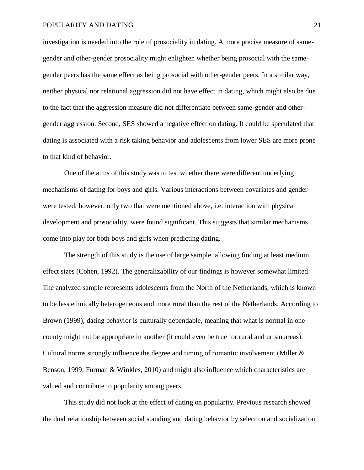investigation is needed into the role of prosociality in dating. A more precise measure of samegender and other-gender prosociality might enlighten whether being prosocial with the samegender peers has the same effect as being prosocial with other-gender peers. In a similar way, neither physical nor relational aggression did not have effect in dating, which might also be due to the fact that the aggression measure did not differentiate between same-gender and othergender aggression. Second, SES showed a negative effect on dating. It could be speculated that dating is associated with a risk taking behavior and adolescents from lower SES are more prone to that kind of behavior.

One of the aims of this study was to test whether there were different underlying mechanisms of dating for boys and girls. Various interactions between covariates and gender were tested, however, only two that were mentioned above, i.e. interaction with physical development and prosociality, were found significant. This suggests that similar mechanisms come into play for both boys and girls when predicting dating.

The strength of this study is the use of large sample, allowing finding at least medium effect sizes (Cohen, 1992). The generalizability of our findings is however somewhat limited. The analyzed sample represents adolescents from the North of the Netherlands, which is known to be less ethnically heterogeneous and more rural than the rest of the Netherlands. According to Brown (1999), dating behavior is culturally dependable, meaning that what is normal in one county might not be appropriate in another (it could even be true for rural and urban areas). Cultural norms strongly influence the degree and timing of romantic involvement (Miller & Benson, 1999; Furman & Winkles, 2010) and might also influence which characteristics are valued and contribute to popularity among peers.

This study did not look at the effect of dating on popularity. Previous research showed the dual relationship between social standing and dating behavior by selection and socialization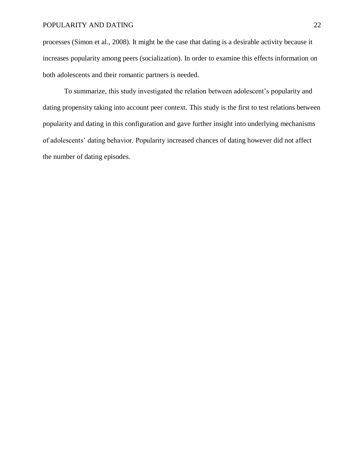processes (Simon et al., 2008). It might be the case that dating is a desirable activity because it increases popularity among peers (socialization). In order to examine this effects information on both adolescents and their romantic partners is needed.

To summarize, this study investigated the relation between adolescent's popularity and dating propensity taking into account peer context. This study is the first to test relations between popularity and dating in this configuration and gave further insight into underlying mechanisms of adolescents' dating behavior. Popularity increased chances of dating however did not affect the number of dating episodes.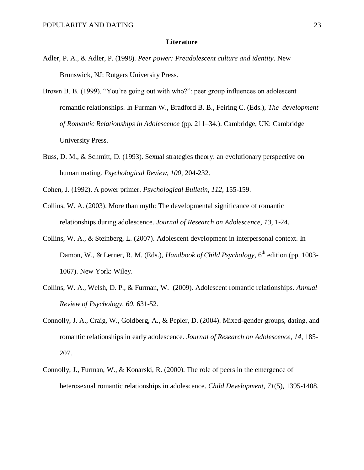#### **Literature**

- Adler, P. A., & Adler, P. (1998). *Peer power: Preadolescent culture and identity*. New Brunswick, NJ: Rutgers University Press.
- Brown B. B. (1999). "You're going out with who?": peer group influences on adolescent romantic relationships. In Furman W., Bradford B. B., Feiring C. (Eds.), *The development of Romantic Relationships in Adolescence* (pp. 211–34.). Cambridge, UK: Cambridge University Press.
- Buss, D. M., & Schmitt, D. (1993). Sexual strategies theory: an evolutionary perspective on human mating. *Psychological Review, 100*, 204-232.

Cohen, J. (1992). A power primer. *Psychological Bulletin, 112*, 155-159.

- Collins, W. A. (2003). More than myth: The developmental significance of romantic relationships during adolescence. *Journal of Research on Adolescence*, *13*, 1-24.
- Collins, W. A., & Steinberg, L. (2007). Adolescent development in interpersonal context. In Damon, W., & Lerner, R. M. (Eds.), *Handbook of Child Psychology*, 6<sup>th</sup> edition (pp. 1003-1067). New York: Wiley.
- Collins, W. A., Welsh, D. P., & Furman, W. (2009). Adolescent romantic relationships. *Annual Review of Psychology, 60*, 631-52.
- Connolly, J. A., Craig, W., Goldberg, A., & Pepler, D. (2004). Mixed-gender groups, dating, and romantic relationships in early adolescence. *Journal of Research on Adolescence, 14*, 185- 207.
- Connolly, J., Furman, W., & Konarski, R. (2000). The role of peers in the emergence of heterosexual romantic relationships in adolescence. *Child Development, 71*(5), 1395-1408.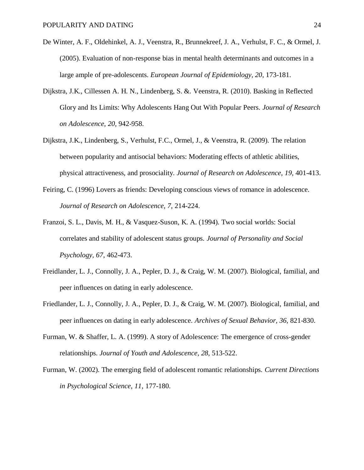- De Winter, A. F., Oldehinkel, A. J., Veenstra, R., Brunnekreef, J. A., Verhulst, F. C., & Ormel, J. (2005). Evaluation of non-response bias in mental health determinants and outcomes in a large ample of pre-adolescents. *European Journal of Epidemiology, 20*, 173-181.
- Dijkstra, J.K., Cillessen A. H. N., Lindenberg, S. &. Veenstra, R. (2010). Basking in Reflected Glory and Its Limits: Why Adolescents Hang Out With Popular Peers. *Journal of Research on Adolescence*, *20,* 942-958.
- Dijkstra, J.K., Lindenberg, S., Verhulst, F.C., Ormel, J., & Veenstra, R. (2009). The relation between popularity and antisocial behaviors: Moderating effects of athletic abilities, physical attractiveness, and prosociality. *Journal of Research on Adolescence, 19,* 401-413.
- Feiring, C. (1996) Lovers as friends: Developing conscious views of romance in adolescence. *Journal of Research on Adolescence, 7,* 214-224.
- Franzoi, S. L., Davis, M. H., & Vasquez-Suson, K. A. (1994). Two social worlds: Social correlates and stability of adolescent status groups. *Journal of Personality and Social Psychology, 67*, 462-473.
- Freidlander, L. J., Connolly, J. A., Pepler, D. J., & Craig, W. M. (2007). Biological, familial, and peer influences on dating in early adolescence.
- Friedlander, L. J., Connolly, J. A., Pepler, D. J., & Craig, W. M. (2007). Biological, familial, and peer influences on dating in early adolescence. *Archives of Sexual Behavior, 36*, 821-830.
- Furman, W. & Shaffer, L. A. (1999). A story of Adolescence: The emergence of cross-gender relationships. *Journal of Youth and Adolescence*, *28*, 513-522.
- Furman, W. (2002). The emerging field of adolescent romantic relationships. *Current Directions in Psychological Science, 11*, 177-180.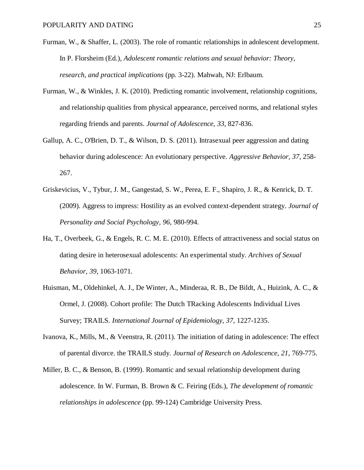- Furman, W., & Shaffer, L. (2003). The role of romantic relationships in adolescent development. In P. Florsheim (Ed.), *Adolescent romantic relations and sexual behavior: Theory, research, and practical implications* (pp. 3-22). Mahwah, NJ: Erlbaum.
- Furman, W., & Winkles, J. K. (2010). Predicting romantic involvement, relationship cognitions, and relationship qualities from physical appearance, perceived norms, and relational styles regarding friends and parents. *Journal of Adolescence, 33*, 827-836.
- Gallup, A. C., O'Brien, D. T., & Wilson, D. S. (2011). Intrasexual peer aggression and dating behavior during adolescence: An evolutionary perspective. *Aggressive Behavior, 37*, 258- 267.
- Griskevicius, V., Tybur, J. M., Gangestad, S. W., Perea, E. F., Shapiro, J. R., & Kenrick, D. T. (2009). Aggress to impress: Hostility as an evolved context-dependent strategy. *Journal of Personality and Social Psychology, 96*, 980-994.
- Ha, T., Overbeek, G., & Engels, R. C. M. E. (2010). Effects of attractiveness and social status on dating desire in heterosexual adolescents: An experimental study. *Archives of Sexual Behavior, 39*, 1063-1071.
- Huisman, M., Oldehinkel, A. J., De Winter, A., Minderaa, R. B., De Bildt, A., Huizink, A. C., & Ormel, J. (2008). Cohort profile: The Dutch TRacking Adolescents Individual Lives Survey; TRAILS. *International Journal of Epidemiology, 37*, 1227-1235.
- Ivanova, K., Mills, M., & Veenstra, R. (2011). The initiation of dating in adolescence: The effect of parental divorce. the TRAILS study. *Journal of Research on Adolescence, 21*, 769-775.
- Miller, B. C., & Benson, B. (1999). Romantic and sexual relationship development during adolescence. In W. Furman, B. Brown & C. Feiring (Eds.), *The development of romantic relationships in adolescence* (pp. 99-124) Cambridge University Press.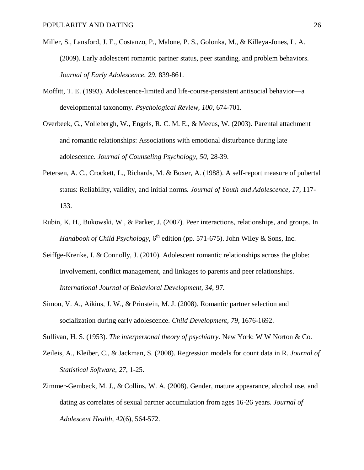- Miller, S., Lansford, J. E., Costanzo, P., Malone, P. S., Golonka, M., & Killeya-Jones, L. A. (2009). Early adolescent romantic partner status, peer standing, and problem behaviors. *Journal of Early Adolescence, 29*, 839-861.
- Moffitt, T. E. (1993). Adolescence-limited and life-course-persistent antisocial behavior—a developmental taxonomy. *Psychological Review, 100*, 674-701.
- Overbeek, G., Vollebergh, W., Engels, R. C. M. E., & Meeus, W. (2003). Parental attachment and romantic relationships: Associations with emotional disturbance during late adolescence. *Journal of Counseling Psychology, 50*, 28-39.
- Petersen, A. C., Crockett, L., Richards, M. & Boxer, A. (1988). A self-report measure of pubertal status: Reliability, validity, and initial norms. *Journal of Youth and Adolescence*, *17*, 117- 133.
- Rubin, K. H., Bukowski, W., & Parker, J. (2007). Peer interactions, relationships, and groups. In *Handbook of Child Psychology*,  $6<sup>th</sup>$  edition (pp. 571-675). John Wiley & Sons, Inc.
- Seiffge-Krenke, I. & Connolly, J. (2010). Adolescent romantic relationships across the globe: Involvement, conflict management, and linkages to parents and peer relationships. *International Journal of Behavioral Development, 34*, 97.
- Simon, V. A., Aikins, J. W., & Prinstein, M. J. (2008). Romantic partner selection and socialization during early adolescence. *Child Development, 79*, 1676-1692.

Sullivan, H. S. (1953). *The interpersonal theory of psychiatry*. New York: W W Norton & Co.

- Zeileis, A., Kleiber, C., & Jackman, S. (2008). Regression models for count data in R. *Journal of Statistical Software, 27*, 1-25.
- Zimmer-Gembeck, M. J., & Collins, W. A. (2008). Gender, mature appearance, alcohol use, and dating as correlates of sexual partner accumulation from ages 16-26 years. *Journal of Adolescent Health, 42*(6), 564-572.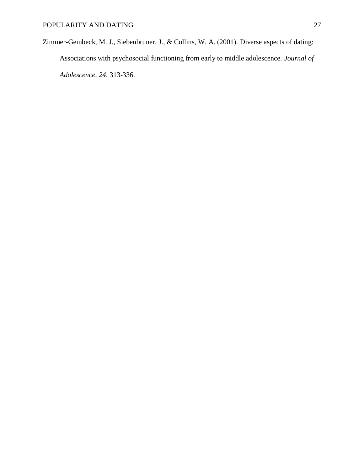Zimmer-Gembeck, M. J., Siebenbruner, J., & Collins, W. A. (2001). Diverse aspects of dating: Associations with psychosocial functioning from early to middle adolescence. *Journal of Adolescence, 24*, 313-336.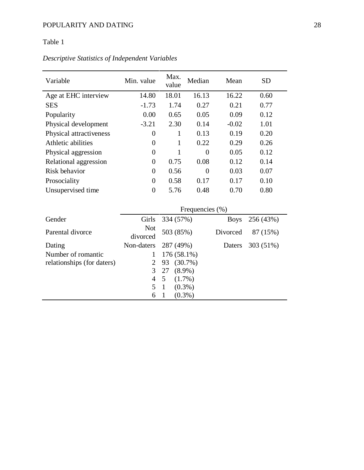## Table 1

# *Descriptive Statistics of Independent Variables*

| Variable                | Min. value     | Max.<br>value | Median   | Mean    | <b>SD</b> |
|-------------------------|----------------|---------------|----------|---------|-----------|
| Age at EHC interview    | 14.80          | 18.01         | 16.13    | 16.22   | 0.60      |
| <b>SES</b>              | $-1.73$        | 1.74          | 0.27     | 0.21    | 0.77      |
| Popularity              | 0.00           | 0.65          | 0.05     | 0.09    | 0.12      |
| Physical development    | $-3.21$        | 2.30          | 0.14     | $-0.02$ | 1.01      |
| Physical attractiveness | $\overline{0}$ |               | 0.13     | 0.19    | 0.20      |
| Athletic abilities      | $\overline{0}$ | 1             | 0.22     | 0.29    | 0.26      |
| Physical aggression     | $\overline{0}$ | 1             | $\Omega$ | 0.05    | 0.12      |
| Relational aggression   | $\overline{0}$ | 0.75          | 0.08     | 0.12    | 0.14      |
| Risk behavior           | $\overline{0}$ | 0.56          | $\Omega$ | 0.03    | 0.07      |
| Prosociality            | $\Omega$       | 0.58          | 0.17     | 0.17    | 0.10      |
| Unsupervised time       | $\overline{0}$ | 5.76          | 0.48     | 0.70    | 0.80      |
|                         |                |               |          |         |           |

|                            | Frequencies (%)        |                         |             |           |  |  |  |  |  |  |  |  |
|----------------------------|------------------------|-------------------------|-------------|-----------|--|--|--|--|--|--|--|--|
| Gender                     | Girls                  | 334 (57%)               | <b>Boys</b> | 256 (43%) |  |  |  |  |  |  |  |  |
| Parental divorce           | <b>Not</b><br>divorced | 503 (85%)               | Divorced    | 87 (15%)  |  |  |  |  |  |  |  |  |
| Dating                     | Non-daters             | 287 (49%)               | Daters      | 303 (51%) |  |  |  |  |  |  |  |  |
| Number of romantic         |                        | 176 (58.1%)             |             |           |  |  |  |  |  |  |  |  |
| relationships (for daters) | 2                      | $(30.7\%)$<br>93        |             |           |  |  |  |  |  |  |  |  |
|                            | 3                      | 27 (8.9%)               |             |           |  |  |  |  |  |  |  |  |
|                            |                        | $(1.7\%)$<br>$4\quad 5$ |             |           |  |  |  |  |  |  |  |  |
|                            |                        | $(0.3\%)$<br>5 1        |             |           |  |  |  |  |  |  |  |  |
|                            | 6                      | $(0.3\%)$               |             |           |  |  |  |  |  |  |  |  |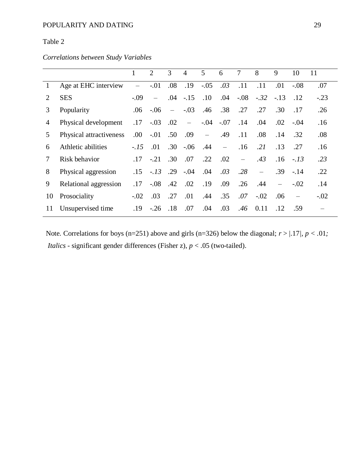## Table 2

## *Correlations between Study Variables*

|              |                         |                          | $\overline{2}$           | 3                        | $\overline{4}$           | 5                        | 6                        | 7                        | 8                        | 9                        | 10     | 11     |
|--------------|-------------------------|--------------------------|--------------------------|--------------------------|--------------------------|--------------------------|--------------------------|--------------------------|--------------------------|--------------------------|--------|--------|
| $\mathbf{1}$ | Age at EHC interview    | $\overline{\phantom{m}}$ | $-.01$                   | .08                      | .19                      | $-.05$                   | .03                      | .11                      | .11                      | .01                      | $-.08$ | .07    |
| 2            | <b>SES</b>              | $-.09$                   | $\overline{\phantom{0}}$ |                          | $.04 - .15$              | .10                      | .04                      | $-.08$                   | $-.32-.13$               |                          | .12    | $-.23$ |
| 3            | Popularity              | .06                      | $-.06$                   | $\overline{\phantom{m}}$ | $-.03$                   | .46                      | .38                      | .27                      | .27                      | .30                      | .17    | .26    |
| 4            | Physical development    | .17                      | $-.03$                   | .02                      | $\overline{\phantom{m}}$ | $-0.04$                  | $-.07$                   | .14                      | .04                      | $.02\,$                  | $-.04$ | .16    |
| 5            | Physical attractiveness | .00.                     | $-.01$                   | .50                      | .09                      | $\overline{\phantom{m}}$ | .49                      | .11                      | .08                      | .14                      | .32    | .08    |
| 6            | Athletic abilities      | $-.15$                   | .01                      | .30 <sub>1</sub>         | $-.06$                   | .44                      | $\overline{\phantom{m}}$ | .16                      | .21                      | .13                      | .27    | .16    |
| 7            | Risk behavior           | .17                      | $-.21$                   | .30                      | .07                      | .22                      | .02                      | $\overline{\phantom{m}}$ | .43                      | .16                      | $-.13$ | .23    |
| 8            | Physical aggression     | .15                      | $-.13$                   | .29                      | $-.04$                   | .04                      | .03                      | .28                      | $\overline{\phantom{m}}$ | .39                      | $-.14$ | .22    |
| 9            | Relational aggression   | .17                      | $-.08$                   | .42                      | .02                      | .19                      | .09                      | .26                      | .44                      | $\overline{\phantom{m}}$ | $-.02$ | .14    |
| 10           | Prosociality            | $-.02$                   | .03                      | .27                      | .01                      | .44                      | .35                      | .07                      | $-.02$                   | .06                      |        | $-.02$ |
| 11           | Unsupervised time       | .19                      | $-26$                    | .18                      | .07                      | .04                      | .03                      | .46                      | 0.11                     | .12                      | .59    |        |

Note. Correlations for boys (n=251) above and girls (n=326) below the diagonal;  $r > |.17|$ ,  $p < .01$ ; *Italics -* significant gender differences (Fisher z), *p* < .05 (two-tailed).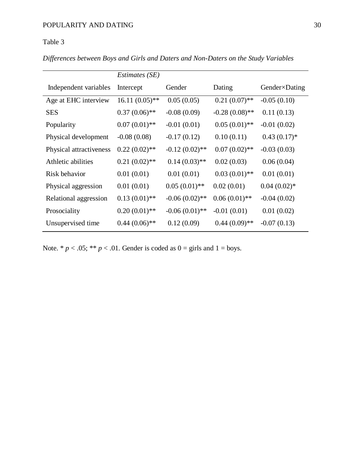## Table 3

*Differences between Boys and Girls and Daters and Non-Daters on the Study Variables*

|                         | <i>Estimates</i> ( <i>SE</i> ) |                  |                  |                        |  |  |
|-------------------------|--------------------------------|------------------|------------------|------------------------|--|--|
| Independent variables   | Intercept                      | Gender           | Dating           | Gender $\times$ Dating |  |  |
| Age at EHC interview    | $16.11(0.05)$ **               | 0.05(0.05)       | $0.21(0.07)$ **  | $-0.05(0.10)$          |  |  |
| <b>SES</b>              | $0.37(0.06)$ **                | $-0.08(0.09)$    | $-0.28(0.08)$ ** | 0.11(0.13)             |  |  |
| Popularity              | $0.07(0.01)$ **                | $-0.01(0.01)$    | $0.05(0.01)$ **  | $-0.01(0.02)$          |  |  |
| Physical development    | $-0.08(0.08)$                  | $-0.17(0.12)$    | 0.10(0.11)       | $0.43(0.17)$ *         |  |  |
| Physical attractiveness | $0.22(0.02)$ **                | $-0.12(0.02)$ ** | $0.07(0.02)$ **  | $-0.03(0.03)$          |  |  |
| Athletic abilities      | $0.21(0.02)$ **                | $0.14(0.03)$ **  | 0.02(0.03)       | 0.06(0.04)             |  |  |
| Risk behavior           | 0.01(0.01)                     | 0.01(0.01)       | $0.03(0.01)$ **  | 0.01(0.01)             |  |  |
| Physical aggression     | 0.01(0.01)                     | $0.05(0.01)$ **  | 0.02(0.01)       | $0.04(0.02)*$          |  |  |
| Relational aggression   | $0.13(0.01)$ **                | $-0.06(0.02)$ ** | $0.06(0.01)$ **  | $-0.04(0.02)$          |  |  |
| Prosociality            | $0.20(0.01)$ **                | $-0.06(0.01)$ ** | $-0.01(0.01)$    | 0.01(0.02)             |  |  |
| Unsupervised time       | $0.44(0.06)$ **                | 0.12(0.09)       | $0.44(0.09)$ **  | $-0.07(0.13)$          |  |  |

Note. \*  $p < .05$ ; \*\*  $p < .01$ . Gender is coded as  $0 =$  girls and  $1 =$  boys.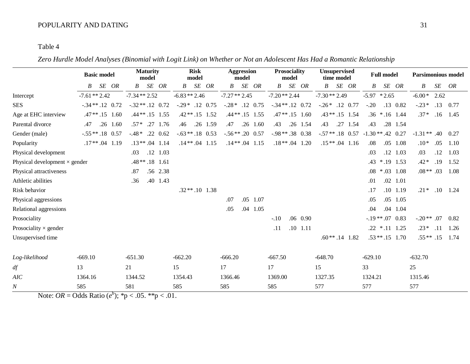## Table 4

*Zero Hurdle Model Analyses (Binomial with Logit Link) on Whether or Not an Adolescent Has Had a Romantic Relationship*

|                                      | <b>Basic model</b>                  | <b>Maturity</b><br>model    | <b>Risk</b><br>model        | <b>Aggression</b><br>model | Prosociality<br>model           | Unsupervised<br>time model  | <b>Full model</b>     | <b>Parsimonious model</b>  |
|--------------------------------------|-------------------------------------|-----------------------------|-----------------------------|----------------------------|---------------------------------|-----------------------------|-----------------------|----------------------------|
|                                      | SE<br><b>OR</b><br>$\boldsymbol{B}$ | SE OR<br>B                  | SE OR<br>B                  | SE OR<br>B                 | $S\hspace{-0.08em}E$<br>OR<br>B | SE OR<br>B                  | SE OR<br>B            | SE<br><b>OR</b><br>B       |
| Intercept                            | $-7.61**2.42$                       | $-7.34**2.52$               | $-6.83**2.46$               | $-7.27**2.45$              | $-7.20**2.44$                   | $-7.30**2.49$               | $-5.97$<br>$*2.65$    | $-6.00*$<br>2.62           |
| <b>SES</b>                           | $-.34**.12$ 0.72                    | $-.32**.12$ 0.72            | $-.29*$<br>$.12 \quad 0.75$ | $-.28*$ .12 0.75           | $-.34**.12$ 0.72                | $.12 \quad 0.77$<br>$-.26*$ | $-.20$<br>.13<br>0.82 | $-.23*$<br>.13<br>0.77     |
| Age at EHC interview                 | $.47**.15$ 1.60                     | $.44**.15$ 1.55             | $.42**.15$ 1.52             | $.44**.15$ 1.55            | $.47**.15$ 1.60                 | $.43**.15$ 1.54             | .36 *.16 1.44         | $.37*$<br>.16<br>1.45      |
| Parental divorce                     | .47<br>$.26$ 1.60                   | $.57*$ .27 1.76             | $.26$ 1.59<br>.46           | .47<br>$.26$ 1.60          | .26 1.54<br>.43                 | .27 1.54<br>.43             | .28 1.54<br>.43       |                            |
| Gender (male)                        | $-.55**.18$ 0.57                    | $.22 \quad 0.62$<br>$-.48*$ | $-.63**.18$ 0.53            | $-.56**.20$ 0.57           | $-0.98**0.38$ 0.38              | $-.57**.18$<br>0.57         | $-1.30**.42$ 0.27     | $-1.31**$ .40 0.27         |
| Popularity                           | $.17**.04$ 1.19                     | $.13**.04$ 1.14             | $.14**.04$ 1.15             | $.14**.04$ 1.15            | $.18**.04$ 1.20                 | $.15**.04$ 1.16             | .08<br>.05<br>1.08    | $.10*$<br>.05<br>1.10      |
| Physical development                 |                                     | $.12$ 1.03<br>.03           |                             |                            |                                 |                             | .12 1.03<br>.03       | .12<br>.03<br>1.03         |
| Physical development $\times$ gender |                                     | $.48**.18$ 1.61             |                             |                            |                                 |                             | $*$ .19 1.53<br>.43   | $.42*$<br>.19<br>1.52      |
| Physical attractiveness              |                                     | .56 2.38<br>.87             |                             |                            |                                 |                             | .08<br>$*.03$ 1.08    | $.08**03$<br>1.08          |
| Athletic abilities                   |                                     | .40<br>1.43<br>.36          |                             |                            |                                 |                             | $.02$ 1.01<br>.01     |                            |
| Risk behavior                        |                                     |                             | $.32**.10$ 1.38             |                            |                                 |                             | $.10$ 1.19<br>.17     | $.10 \quad 1.24$<br>$.21*$ |
| Physical aggressions                 |                                     |                             |                             | .05 1.07<br>.07            |                                 |                             | $.05$ 1.05<br>.05     |                            |
| Relational aggressions               |                                     |                             |                             | .04 1.05<br>.05            |                                 |                             | .04<br>$.04$ 1.04     |                            |
| Prosociality                         |                                     |                             |                             |                            | $.06$ 0.90<br>$-.10$            |                             | $-.19**.07$ 0.83      | $-.20**.07$<br>0.82        |
| Prosociality $\times$ gender         |                                     |                             |                             |                            | $.10$ 1.11<br>.11               |                             | $*$ .11 1.25<br>.22   | $.23*$<br>.11<br>1.26      |
| Unsupervised time                    |                                     |                             |                             |                            |                                 | $.60**.14$ 1.82             | $.53**.15$ 1.70       | $.55**$ .15<br>1.74        |
| Log-likelihood                       | $-669.10$                           | $-651.30$                   | $-662.20$                   | $-666.20$                  | $-667.50$                       | $-648.70$                   | $-629.10$             | $-632.70$                  |
| $\mathit{df}$                        | 13                                  | 21                          | 15                          | 17                         | 17                              | 15                          | 33                    | 25                         |
| AIC                                  | 1364.16                             | 1344.52                     | 1354.43                     | 1366.46                    | 1369.00                         | 1327.35                     | 1324.21               | 1315.46                    |
| N                                    | 585                                 | 581                         | 585                         | 585                        | 585                             | 577                         | 577                   | 577                        |

Note:  $OR =$  Odds Ratio  $(e^{b})$ ;  $\frac{b}{p}$  < .05.  $\frac{b}{p}$  < .01.